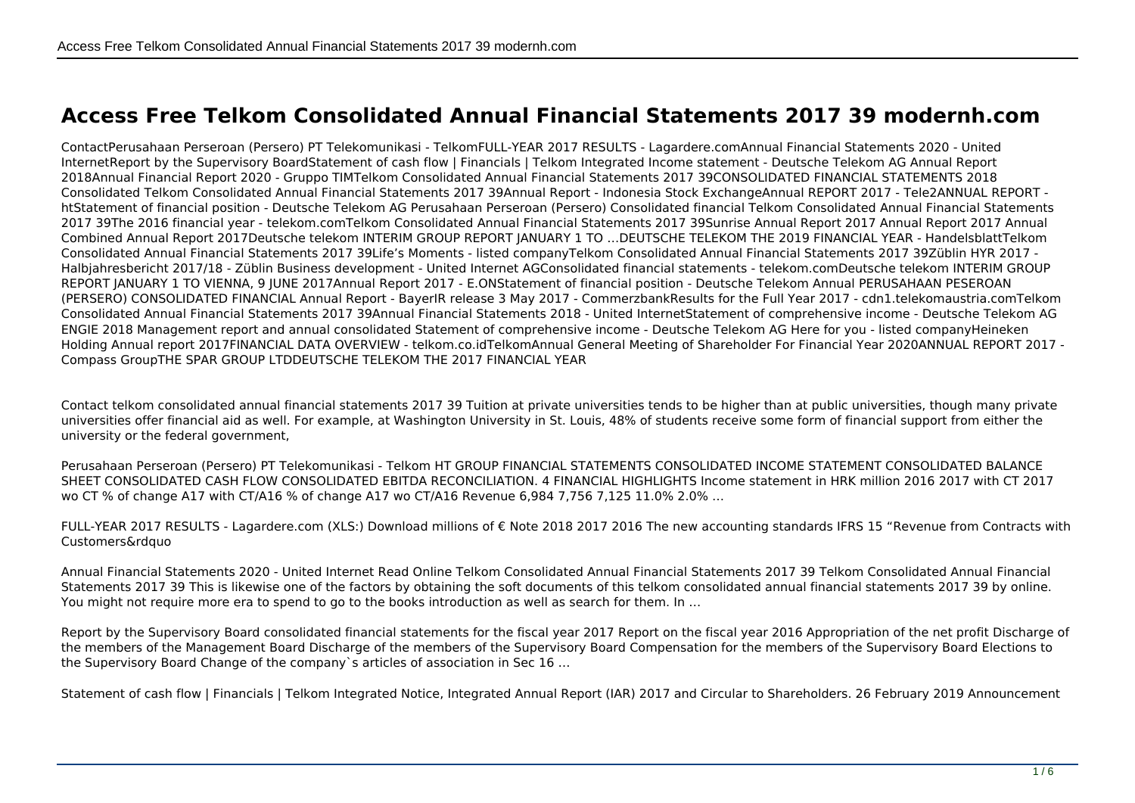## **Access Free Telkom Consolidated Annual Financial Statements 2017 39 modernh.com**

ContactPerusahaan Perseroan (Persero) PT Telekomunikasi - TelkomFULL-YEAR 2017 RESULTS - Lagardere.comAnnual Financial Statements 2020 - United InternetReport by the Supervisory BoardStatement of cash flow | Financials | Telkom Integrated Income statement - Deutsche Telekom AG Annual Report 2018Annual Financial Report 2020 - Gruppo TIMTelkom Consolidated Annual Financial Statements 2017 39CONSOLIDATED FINANCIAL STATEMENTS 2018 Consolidated Telkom Consolidated Annual Financial Statements 2017 39Annual Report - Indonesia Stock ExchangeAnnual REPORT 2017 - Tele2ANNUAL REPORT htStatement of financial position - Deutsche Telekom AG Perusahaan Perseroan (Persero) Consolidated financial Telkom Consolidated Annual Financial Statements 2017 39The 2016 financial year - telekom.comTelkom Consolidated Annual Financial Statements 2017 39Sunrise Annual Report 2017 Annual Report 2017 Annual Combined Annual Report 2017Deutsche telekom INTERIM GROUP REPORT JANUARY 1 TO …DEUTSCHE TELEKOM THE 2019 FINANCIAL YEAR - HandelsblattTelkom Consolidated Annual Financial Statements 2017 39Life's Moments - listed companyTelkom Consolidated Annual Financial Statements 2017 39Züblin HYR 2017 - Halbjahresbericht 2017/18 - Züblin Business development - United Internet AGConsolidated financial statements - telekom.comDeutsche telekom INTERIM GROUP REPORT JANUARY 1 TO VIENNA, 9 JUNE 2017Annual Report 2017 - E.ONStatement of financial position - Deutsche Telekom Annual PERUSAHAAN PESEROAN (PERSERO) CONSOLIDATED FINANCIAL Annual Report - BayerIR release 3 May 2017 - CommerzbankResults for the Full Year 2017 - cdn1.telekomaustria.comTelkom Consolidated Annual Financial Statements 2017 39Annual Financial Statements 2018 - United InternetStatement of comprehensive income - Deutsche Telekom AG ENGIE 2018 Management report and annual consolidated Statement of comprehensive income - Deutsche Telekom AG Here for you - listed companyHeineken Holding Annual report 2017FINANCIAL DATA OVERVIEW - telkom.co.idTelkomAnnual General Meeting of Shareholder For Financial Year 2020ANNUAL REPORT 2017 - Compass GroupTHE SPAR GROUP LTDDEUTSCHE TELEKOM THE 2017 FINANCIAL YEAR

Contact telkom consolidated annual financial statements 2017 39 Tuition at private universities tends to be higher than at public universities, though many private universities offer financial aid as well. For example, at Washington University in St. Louis, 48% of students receive some form of financial support from either the university or the federal government,

Perusahaan Perseroan (Persero) PT Telekomunikasi - Telkom HT GROUP FINANCIAL STATEMENTS CONSOLIDATED INCOME STATEMENT CONSOLIDATED BALANCE SHEET CONSOLIDATED CASH FLOW CONSOLIDATED EBITDA RECONCILIATION. 4 FINANCIAL HIGHLIGHTS Income statement in HRK million 2016 2017 with CT 2017 wo CT % of change A17 with CT/A16 % of change A17 wo CT/A16 Revenue 6,984 7,756 7,125 11.0% 2.0% …

FULL-YEAR 2017 RESULTS - Lagardere.com (XLS:) Download millions of € Note 2018 2017 2016 The new accounting standards IFRS 15 "Revenue from Contracts with Customers&rdquo

Annual Financial Statements 2020 - United Internet Read Online Telkom Consolidated Annual Financial Statements 2017 39 Telkom Consolidated Annual Financial Statements 2017 39 This is likewise one of the factors by obtaining the soft documents of this telkom consolidated annual financial statements 2017 39 by online. You might not require more era to spend to go to the books introduction as well as search for them. In ...

Report by the Supervisory Board consolidated financial statements for the fiscal year 2017 Report on the fiscal year 2016 Appropriation of the net profit Discharge of the members of the Management Board Discharge of the members of the Supervisory Board Compensation for the members of the Supervisory Board Elections to the Supervisory Board Change of the company`s articles of association in Sec 16 …

Statement of cash flow | Financials | Telkom Integrated Notice, Integrated Annual Report (IAR) 2017 and Circular to Shareholders, 26 February 2019 Announcement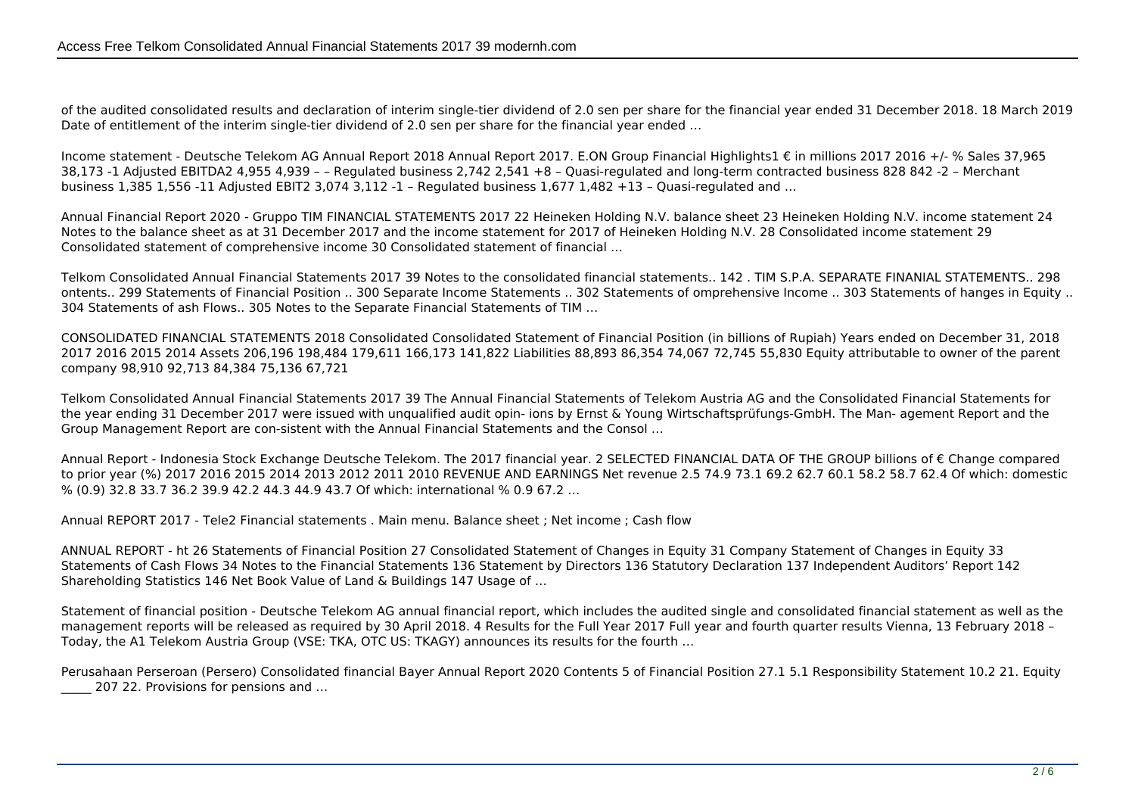of the audited consolidated results and declaration of interim single‑tier dividend of 2.0 sen per share for the financial year ended 31 December 2018. 18 March 2019 Date of entitlement of the interim single-tier dividend of 2.0 sen per share for the financial year ended ...

Income statement - Deutsche Telekom AG Annual Report 2018 Annual Report 2017. E.ON Group Financial Highlights1 € in millions 2017 2016 +/- % Sales 37,965 38,173 -1 Adjusted EBITDA2 4,955 4,939 – – Regulated business 2,742 2,541 +8 – Quasi-regulated and long-term contracted business 828 842 -2 – Merchant business 1,385 1,556 -11 Adjusted EBIT2 3,074 3,112 -1 – Regulated business 1,677 1,482 +13 – Quasi-regulated and …

Annual Financial Report 2020 - Gruppo TIM FINANCIAL STATEMENTS 2017 22 Heineken Holding N.V. balance sheet 23 Heineken Holding N.V. income statement 24 Notes to the balance sheet as at 31 December 2017 and the income statement for 2017 of Heineken Holding N.V. 28 Consolidated income statement 29 Consolidated statement of comprehensive income 30 Consolidated statement of financial …

Telkom Consolidated Annual Financial Statements 2017 39 Notes to the consolidated financial statements.. 142 . TIM S.P.A. SEPARATE FINANIAL STATEMENTS.. 298 ontents.. 299 Statements of Financial Position .. 300 Separate Income Statements .. 302 Statements of omprehensive Income .. 303 Statements of hanges in Equity .. 304 Statements of ash Flows.. 305 Notes to the Separate Financial Statements of TIM …

CONSOLIDATED FINANCIAL STATEMENTS 2018 Consolidated Consolidated Statement of Financial Position (in billions of Rupiah) Years ended on December 31, 2018 2017 2016 2015 2014 Assets 206,196 198,484 179,611 166,173 141,822 Liabilities 88,893 86,354 74,067 72,745 55,830 Equity attributable to owner of the parent company 98,910 92,713 84,384 75,136 67,721

Telkom Consolidated Annual Financial Statements 2017 39 The Annual Financial Statements of Telekom Austria AG and the Consolidated Financial Statements for the year ending 31 December 2017 were issued with unqualified audit opin- ions by Ernst & Young Wirtschaftsprüfungs-GmbH. The Man- agement Report and the Group Management Report are con-sistent with the Annual Financial Statements and the Consol …

Annual Report - Indonesia Stock Exchange Deutsche Telekom. The 2017 financial year. 2 SELECTED FINANCIAL DATA OF THE GROUP billions of € Change compared to prior year (%) 2017 2016 2015 2014 2013 2012 2011 2010 REVENUE AND EARNINGS Net revenue 2.5 74.9 73.1 69.2 62.7 60.1 58.2 58.7 62.4 Of which: domestic % (0.9) 32.8 33.7 36.2 39.9 42.2 44.3 44.9 43.7 Of which: international % 0.9 67.2 …

Annual REPORT 2017 - Tele2 Financial statements . Main menu. Balance sheet ; Net income ; Cash flow

ANNUAL REPORT - ht 26 Statements of Financial Position 27 Consolidated Statement of Changes in Equity 31 Company Statement of Changes in Equity 33 Statements of Cash Flows 34 Notes to the Financial Statements 136 Statement by Directors 136 Statutory Declaration 137 Independent Auditors' Report 142 Shareholding Statistics 146 Net Book Value of Land & Buildings 147 Usage of …

Statement of financial position - Deutsche Telekom AG annual financial report, which includes the audited single and consolidated financial statement as well as the management reports will be released as required by 30 April 2018. 4 Results for the Full Year 2017 Full year and fourth quarter results Vienna, 13 February 2018 – Today, the A1 Telekom Austria Group (VSE: TKA, OTC US: TKAGY) announces its results for the fourth …

Perusahaan Perseroan (Persero) Consolidated financial Bayer Annual Report 2020 Contents 5 of Financial Position 27.1 5.1 Responsibility Statement 10.2 21. Equity 207 22. Provisions for pensions and ...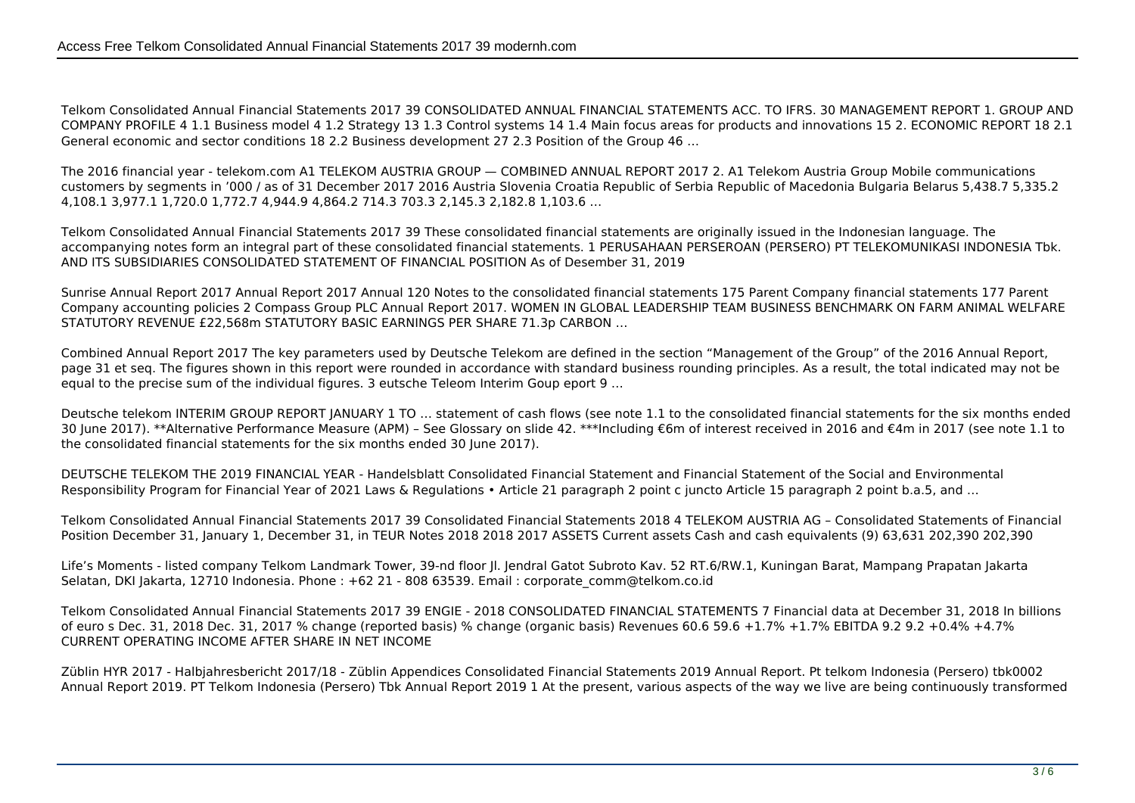Telkom Consolidated Annual Financial Statements 2017 39 CONSOLIDATED ANNUAL FINANCIAL STATEMENTS ACC. TO IFRS. 30 MANAGEMENT REPORT 1. GROUP AND COMPANY PROFILE 4 1.1 Business model 4 1.2 Strategy 13 1.3 Control systems 14 1.4 Main focus areas for products and innovations 15 2. ECONOMIC REPORT 18 2.1 General economic and sector conditions 18 2.2 Business development 27 2.3 Position of the Group 46 …

The 2016 financial year - telekom.com A1 TELEKOM AUSTRIA GROUP — COMBINED ANNUAL REPORT 2017 2. A1 Telekom Austria Group Mobile communications customers by segments in '000 / as of 31 December 2017 2016 Austria Slovenia Croatia Republic of Serbia Republic of Macedonia Bulgaria Belarus 5,438.7 5,335.2 4,108.1 3,977.1 1,720.0 1,772.7 4,944.9 4,864.2 714.3 703.3 2,145.3 2,182.8 1,103.6 …

Telkom Consolidated Annual Financial Statements 2017 39 These consolidated financial statements are originally issued in the Indonesian language. The accompanying notes form an integral part of these consolidated financial statements. 1 PERUSAHAAN PERSEROAN (PERSERO) PT TELEKOMUNIKASI INDONESIA Tbk. AND ITS SUBSIDIARIES CONSOLIDATED STATEMENT OF FINANCIAL POSITION As of Desember 31, 2019

Sunrise Annual Report 2017 Annual Report 2017 Annual 120 Notes to the consolidated financial statements 175 Parent Company financial statements 177 Parent Company accounting policies 2 Compass Group PLC Annual Report 2017. WOMEN IN GLOBAL LEADERSHIP TEAM BUSINESS BENCHMARK ON FARM ANIMAL WELFARE STATUTORY REVENUE £22,568m STATUTORY BASIC EARNINGS PER SHARE 71.3p CARBON …

Combined Annual Report 2017 The key parameters used by Deutsche Telekom are defined in the section "Management of the Group" of the 2016 Annual Report, page 31 et seq. The figures shown in this report were rounded in accordance with standard business rounding principles. As a result, the total indicated may not be equal to the precise sum of the individual figures. 3 eutsche Teleom Interim Goup eport 9 …

Deutsche telekom INTERIM GROUP REPORT JANUARY 1 TO … statement of cash flows (see note 1.1 to the consolidated financial statements for the six months ended 30 June 2017). \*\*Alternative Performance Measure (APM) – See Glossary on slide 42. \*\*\*Including €6m of interest received in 2016 and €4m in 2017 (see note 1.1 to the consolidated financial statements for the six months ended 30 June 2017).

DEUTSCHE TELEKOM THE 2019 FINANCIAL YEAR - Handelsblatt Consolidated Financial Statement and Financial Statement of the Social and Environmental Responsibility Program for Financial Year of 2021 Laws & Regulations • Article 21 paragraph 2 point c juncto Article 15 paragraph 2 point b.a.5, and …

Telkom Consolidated Annual Financial Statements 2017 39 Consolidated Financial Statements 2018 4 TELEKOM AUSTRIA AG – Consolidated Statements of Financial Position December 31, January 1, December 31, in TEUR Notes 2018 2018 2017 ASSETS Current assets Cash and cash equivalents (9) 63,631 202,390 202,390

Life's Moments - listed company Telkom Landmark Tower, 39-nd floor Jl. Jendral Gatot Subroto Kav. 52 RT.6/RW.1, Kuningan Barat, Mampang Prapatan Jakarta Selatan, DKI Jakarta, 12710 Indonesia. Phone : +62 21 - 808 63539. Email : corporate\_comm@telkom.co.id

Telkom Consolidated Annual Financial Statements 2017 39 ENGIE - 2018 CONSOLIDATED FINANCIAL STATEMENTS 7 Financial data at December 31, 2018 In billions of euro s Dec. 31, 2018 Dec. 31, 2017 % change (reported basis) % change (organic basis) Revenues 60.6 59.6 +1.7% +1.7% EBITDA 9.2 9.2 +0.4% +4.7% CURRENT OPERATING INCOME AFTER SHARE IN NET INCOME

Züblin HYR 2017 - Halbjahresbericht 2017/18 - Züblin Appendices Consolidated Financial Statements 2019 Annual Report. Pt telkom Indonesia (Persero) tbk0002 Annual Report 2019. PT Telkom Indonesia (Persero) Tbk Annual Report 2019 1 At the present, various aspects of the way we live are being continuously transformed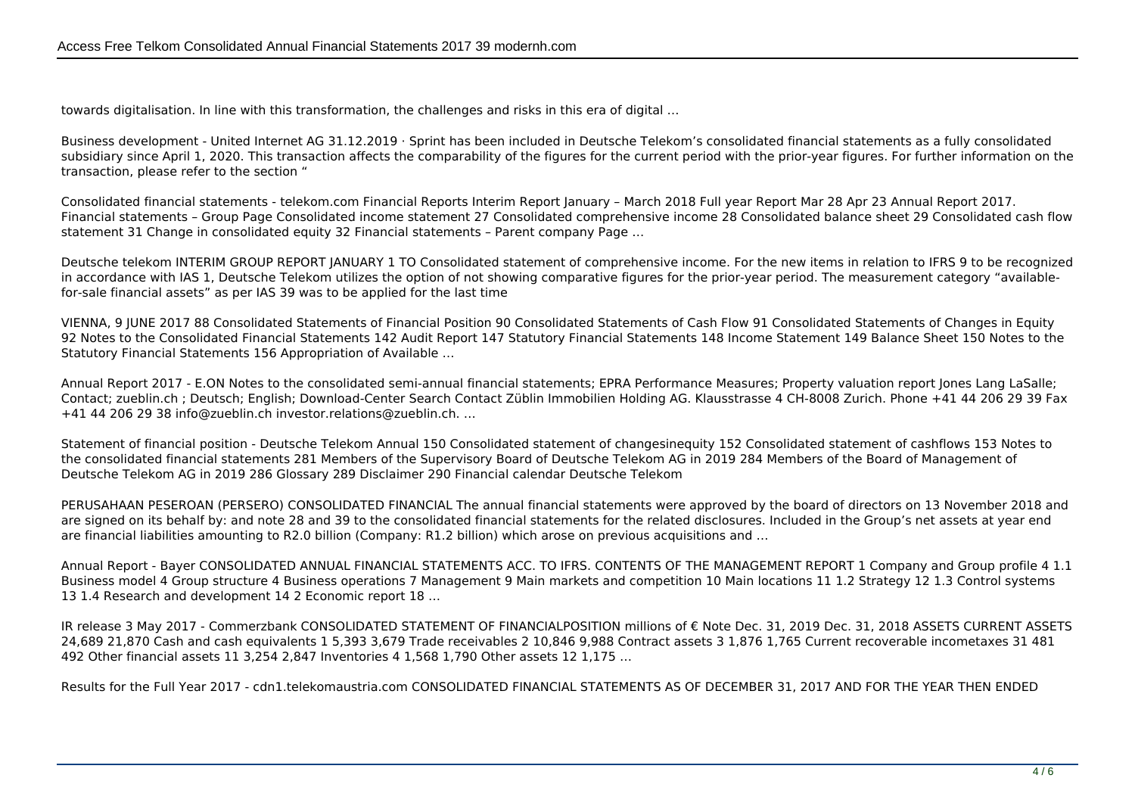towards digitalisation. In line with this transformation, the challenges and risks in this era of digital …

Business development - United Internet AG 31.12.2019 · Sprint has been included in Deutsche Telekom's consolidated financial statements as a fully consolidated subsidiary since April 1, 2020. This transaction affects the comparability of the figures for the current period with the prior-year figures. For further information on the transaction, please refer to the section "

Consolidated financial statements - telekom.com Financial Reports Interim Report January – March 2018 Full year Report Mar 28 Apr 23 Annual Report 2017. Financial statements – Group Page Consolidated income statement 27 Consolidated comprehensive income 28 Consolidated balance sheet 29 Consolidated cash flow statement 31 Change in consolidated equity 32 Financial statements – Parent company Page …

Deutsche telekom INTERIM GROUP REPORT JANUARY 1 TO Consolidated statement of comprehensive income. For the new items in relation to IFRS 9 to be recognized in accordance with IAS 1, Deutsche Telekom utilizes the option of not showing comparative figures for the prior-year period. The measurement category "availablefor-sale financial assets" as per IAS 39 was to be applied for the last time

VIENNA, 9 JUNE 2017 88 Consolidated Statements of Financial Position 90 Consolidated Statements of Cash Flow 91 Consolidated Statements of Changes in Equity 92 Notes to the Consolidated Financial Statements 142 Audit Report 147 Statutory Financial Statements 148 Income Statement 149 Balance Sheet 150 Notes to the Statutory Financial Statements 156 Appropriation of Available …

Annual Report 2017 - E.ON Notes to the consolidated semi-annual financial statements; EPRA Performance Measures; Property valuation report Jones Lang LaSalle; Contact; zueblin.ch ; Deutsch; English; Download-Center Search Contact Züblin Immobilien Holding AG. Klausstrasse 4 CH-8008 Zurich. Phone +41 44 206 29 39 Fax +41 44 206 29 38 info@zueblin.ch investor.relations@zueblin.ch. …

Statement of financial position - Deutsche Telekom Annual 150 Consolidated statement of changesinequity 152 Consolidated statement of cashflows 153 Notes to the consolidated financial statements 281 Members of the Supervisory Board of Deutsche Telekom AG in 2019 284 Members of the Board of Management of Deutsche Telekom AG in 2019 286 Glossary 289 Disclaimer 290 Financial calendar Deutsche Telekom

PERUSAHAAN PESEROAN (PERSERO) CONSOLIDATED FINANCIAL The annual financial statements were approved by the board of directors on 13 November 2018 and are signed on its behalf by: and note 28 and 39 to the consolidated financial statements for the related disclosures. Included in the Group's net assets at year end are financial liabilities amounting to R2.0 billion (Company: R1.2 billion) which arose on previous acquisitions and …

Annual Report - Bayer CONSOLIDATED ANNUAL FINANCIAL STATEMENTS ACC. TO IFRS. CONTENTS OF THE MANAGEMENT REPORT 1 Company and Group profile 4 1.1 Business model 4 Group structure 4 Business operations 7 Management 9 Main markets and competition 10 Main locations 11 1.2 Strategy 12 1.3 Control systems 13 1.4 Research and development 14 2 Economic report 18 …

IR release 3 May 2017 - Commerzbank CONSOLIDATED STATEMENT OF FINANCIALPOSITION millions of € Note Dec. 31, 2019 Dec. 31, 2018 ASSETS CURRENT ASSETS 24,689 21,870 Cash and cash equivalents 1 5,393 3,679 Trade receivables 2 10,846 9,988 Contract assets 3 1,876 1,765 Current recoverable incometaxes 31 481 492 Other financial assets 11 3,254 2,847 Inventories 4 1,568 1,790 Other assets 12 1,175 …

Results for the Full Year 2017 - cdn1.telekomaustria.com CONSOLIDATED FINANCIAL STATEMENTS AS OF DECEMBER 31, 2017 AND FOR THE YEAR THEN ENDED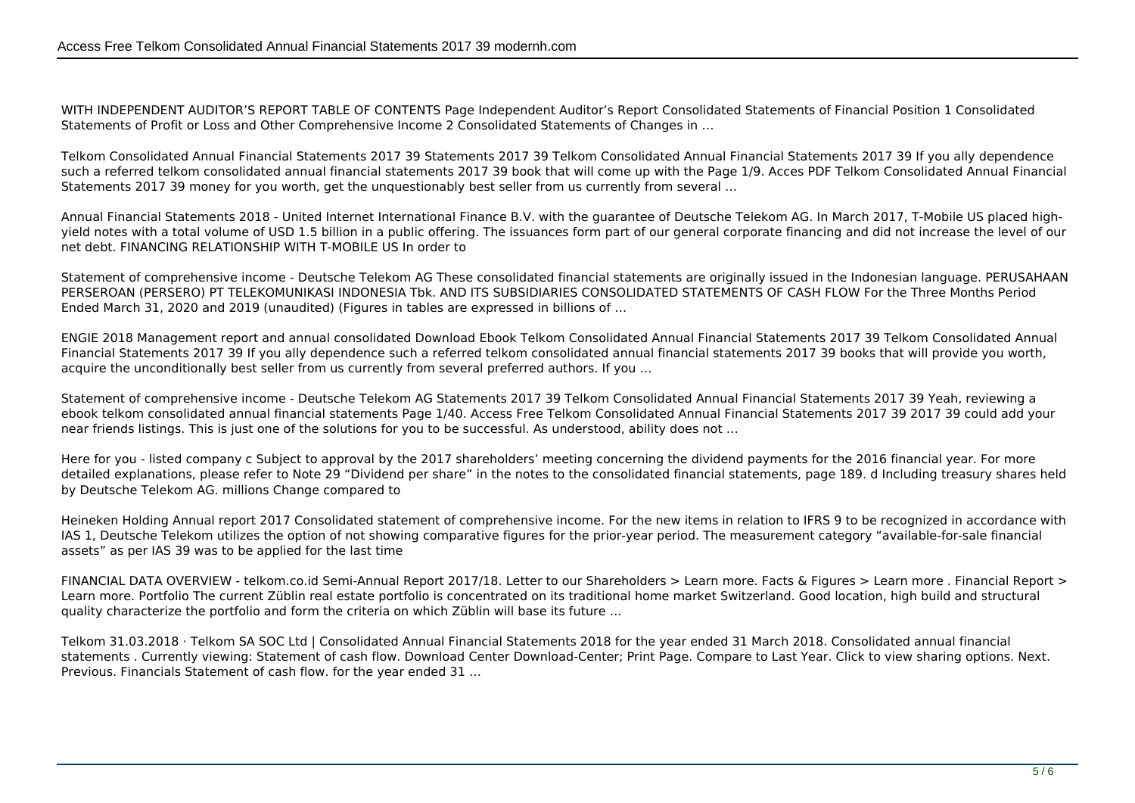WITH INDEPENDENT AUDITOR'S REPORT TABLE OF CONTENTS Page Independent Auditor's Report Consolidated Statements of Financial Position 1 Consolidated Statements of Profit or Loss and Other Comprehensive Income 2 Consolidated Statements of Changes in …

Telkom Consolidated Annual Financial Statements 2017 39 Statements 2017 39 Telkom Consolidated Annual Financial Statements 2017 39 If you ally dependence such a referred telkom consolidated annual financial statements 2017 39 book that will come up with the Page 1/9. Acces PDF Telkom Consolidated Annual Financial Statements 2017 39 money for you worth, get the unquestionably best seller from us currently from several …

Annual Financial Statements 2018 - United Internet International Finance B.V. with the guarantee of Deutsche Telekom AG. In March 2017, T-Mobile US placed highyield notes with a total volume of USD 1.5 billion in a public offering. The issuances form part of our general corporate financing and did not increase the level of our net debt. FINANCING RELATIONSHIP WITH T-MOBILE US In order to

Statement of comprehensive income - Deutsche Telekom AG These consolidated financial statements are originally issued in the Indonesian language. PERUSAHAAN PERSEROAN (PERSERO) PT TELEKOMUNIKASI INDONESIA Tbk. AND ITS SUBSIDIARIES CONSOLIDATED STATEMENTS OF CASH FLOW For the Three Months Period Ended March 31, 2020 and 2019 (unaudited) (Figures in tables are expressed in billions of …

ENGIE 2018 Management report and annual consolidated Download Ebook Telkom Consolidated Annual Financial Statements 2017 39 Telkom Consolidated Annual Financial Statements 2017 39 If you ally dependence such a referred telkom consolidated annual financial statements 2017 39 books that will provide you worth, acquire the unconditionally best seller from us currently from several preferred authors. If you …

Statement of comprehensive income - Deutsche Telekom AG Statements 2017 39 Telkom Consolidated Annual Financial Statements 2017 39 Yeah, reviewing a ebook telkom consolidated annual financial statements Page 1/40. Access Free Telkom Consolidated Annual Financial Statements 2017 39 2017 39 could add your near friends listings. This is just one of the solutions for you to be successful. As understood, ability does not …

Here for you - listed company c Subject to approval by the 2017 shareholders' meeting concerning the dividend payments for the 2016 financial year. For more detailed explanations, please refer to Note 29 "Dividend per share" in the notes to the consolidated financial statements, page 189. d Including treasury shares held by Deutsche Telekom AG. millions Change compared to

Heineken Holding Annual report 2017 Consolidated statement of comprehensive income. For the new items in relation to IFRS 9 to be recognized in accordance with IAS 1, Deutsche Telekom utilizes the option of not showing comparative figures for the prior-year period. The measurement category "available-for-sale financial assets" as per IAS 39 was to be applied for the last time

FINANCIAL DATA OVERVIEW - telkom.co.id Semi-Annual Report 2017/18. Letter to our Shareholders > Learn more. Facts & Figures > Learn more . Financial Report > Learn more. Portfolio The current Züblin real estate portfolio is concentrated on its traditional home market Switzerland. Good location, high build and structural quality characterize the portfolio and form the criteria on which Züblin will base its future …

Telkom 31.03.2018 · Telkom SA SOC Ltd | Consolidated Annual Financial Statements 2018 for the year ended 31 March 2018. Consolidated annual financial statements . Currently viewing: Statement of cash flow. Download Center Download-Center; Print Page. Compare to Last Year. Click to view sharing options. Next. Previous. Financials Statement of cash flow. for the year ended 31 …